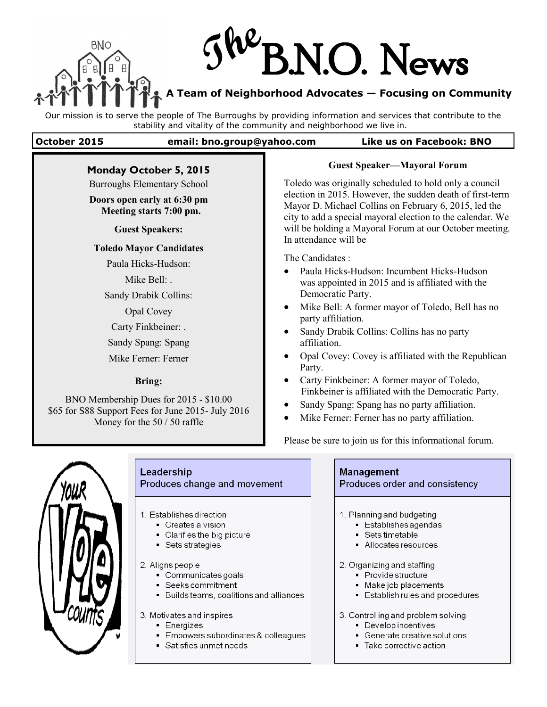

# **The** B.N.O. News

**A Team of Neighborhood Advocates — Focusing on Community** 

Our mission is to serve the people of The Burroughs by providing information and services that contribute to the stability and vitality of the community and neighborhood we live in.

#### **October 2015 email: bno.group@yahoo.com Like us on Facebook: BNO**

#### **Monday October 5, 2015**

Burroughs Elementary School

#### **Doors open early at 6:30 pm Meeting starts 7:00 pm.**

**Guest Speakers:**

#### **Toledo Mayor Candidates**

Paula Hicks-Hudson:

Mike Bell<sup>.</sup>

Sandy Drabik Collins:

Opal Covey

Carty Finkbeiner: .

Sandy Spang: Spang

Mike Ferner: Ferner

#### **Bring:**

BNO Membership Dues for 2015 - \$10.00 \$65 for S88 Support Fees for June 2015- July 2016 Money for the 50 / 50 raffle

#### **Guest Speaker—Mayoral Forum**

Toledo was originally scheduled to hold only a council election in 2015. However, the sudden death of first-term Mayor D. Michael Collins on February 6, 2015, led the city to add a special mayoral election to the calendar. We will be holding a Mayoral Forum at our October meeting. In attendance will be

The Candidates :

- Paula Hicks-Hudson: Incumbent Hicks-Hudson was appointed in 2015 and is affiliated with the Democratic Party.
- Mike Bell: A former mayor of Toledo, Bell has no party affiliation.
- Sandy Drabik Collins: Collins has no party affiliation.
- Opal Covey: Covey is affiliated with the Republican Party.
- Carty Finkbeiner: A former mayor of Toledo, Finkbeiner is affiliated with the Democratic Party.
- Sandy Spang: Spang has no party affiliation.
- Mike Ferner: Ferner has no party affiliation.

Please be sure to join us for this informational forum.



# Leadership

Produces change and movement

- 1 Establishes direction
	- Creates a vision
	- Clarifies the big picture
	- Sets strategies

2. Aligns people

- Communicates goals
- Seeks commitment
- Builds teams, coalitions and alliances

3. Motivates and inspires

- **Energizes**
- Empowers subordinates & colleagues
- Satisfies unmet needs

#### **Management**

Produces order and consistency

- 1. Planning and budgeting
	- Establishes agendas
	- Sets timetable
	- Allocates resources

2. Organizing and staffing

- Provide structure
- Make job placements
- Establish rules and procedures
- 3. Controlling and problem solving
	- Develop incentives
	- Generate creative solutions
	- Take corrective action